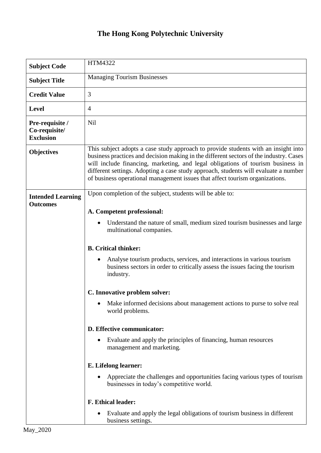## **The Hong Kong Polytechnic University**

| <b>Subject Code</b>                                  | HTM4322                                                                                                                                                                                                                                                                                                                                                                                                                                |
|------------------------------------------------------|----------------------------------------------------------------------------------------------------------------------------------------------------------------------------------------------------------------------------------------------------------------------------------------------------------------------------------------------------------------------------------------------------------------------------------------|
| <b>Subject Title</b>                                 | <b>Managing Tourism Businesses</b>                                                                                                                                                                                                                                                                                                                                                                                                     |
| <b>Credit Value</b>                                  | 3                                                                                                                                                                                                                                                                                                                                                                                                                                      |
| <b>Level</b>                                         | $\overline{4}$                                                                                                                                                                                                                                                                                                                                                                                                                         |
| Pre-requisite /<br>Co-requisite/<br><b>Exclusion</b> | Nil                                                                                                                                                                                                                                                                                                                                                                                                                                    |
| <b>Objectives</b>                                    | This subject adopts a case study approach to provide students with an insight into<br>business practices and decision making in the different sectors of the industry. Cases<br>will include financing, marketing, and legal obligations of tourism business in<br>different settings. Adopting a case study approach, students will evaluate a number<br>of business operational management issues that affect tourism organizations. |
| <b>Intended Learning</b><br><b>Outcomes</b>          | Upon completion of the subject, students will be able to:<br>A. Competent professional:                                                                                                                                                                                                                                                                                                                                                |
|                                                      | Understand the nature of small, medium sized tourism businesses and large<br>multinational companies.                                                                                                                                                                                                                                                                                                                                  |
|                                                      | <b>B.</b> Critical thinker:<br>Analyse tourism products, services, and interactions in various tourism<br>business sectors in order to critically assess the issues facing the tourism<br>industry.                                                                                                                                                                                                                                    |
|                                                      | C. Innovative problem solver:                                                                                                                                                                                                                                                                                                                                                                                                          |
|                                                      | Make informed decisions about management actions to purse to solve real<br>world problems.                                                                                                                                                                                                                                                                                                                                             |
|                                                      | D. Effective communicator:                                                                                                                                                                                                                                                                                                                                                                                                             |
|                                                      | Evaluate and apply the principles of financing, human resources<br>management and marketing.                                                                                                                                                                                                                                                                                                                                           |
|                                                      | E. Lifelong learner:                                                                                                                                                                                                                                                                                                                                                                                                                   |
|                                                      | Appreciate the challenges and opportunities facing various types of tourism<br>businesses in today's competitive world.                                                                                                                                                                                                                                                                                                                |
|                                                      | <b>F. Ethical leader:</b>                                                                                                                                                                                                                                                                                                                                                                                                              |
|                                                      | Evaluate and apply the legal obligations of tourism business in different<br>business settings.                                                                                                                                                                                                                                                                                                                                        |